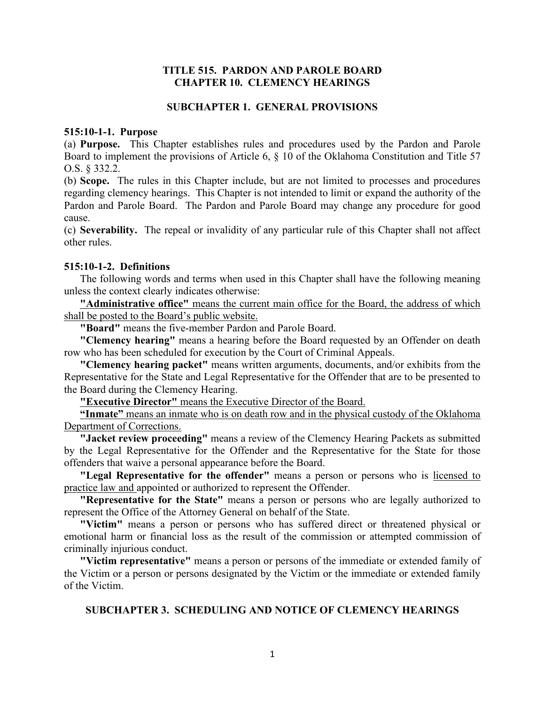## **TITLE 515. PARDON AND PAROLE BOARD CHAPTER 10. CLEMENCY HEARINGS**

### **SUBCHAPTER 1. GENERAL PROVISIONS**

## **515:10-1-1. Purpose**

(a) **Purpose.** This Chapter establishes rules and procedures used by the Pardon and Parole Board to implement the provisions of Article 6, § 10 of the Oklahoma Constitution and Title 57 O.S. § 332.2.

(b) **Scope.** The rules in this Chapter include, but are not limited to processes and procedures regarding clemency hearings. This Chapter is not intended to limit or expand the authority of the Pardon and Parole Board. The Pardon and Parole Board may change any procedure for good cause.

(c) **Severability.** The repeal or invalidity of any particular rule of this Chapter shall not affect other rules.

### **515:10-1-2. Definitions**

The following words and terms when used in this Chapter shall have the following meaning unless the context clearly indicates otherwise:

**"Administrative office"** means the current main office for the Board, the address of which shall be posted to the Board's public website.

**"Board"** means the five-member Pardon and Parole Board.

**"Clemency hearing"** means a hearing before the Board requested by an Offender on death row who has been scheduled for execution by the Court of Criminal Appeals.

**"Clemency hearing packet"** means written arguments, documents, and/or exhibits from the Representative for the State and Legal Representative for the Offender that are to be presented to the Board during the Clemency Hearing.

**"Executive Director"** means the Executive Director of the Board.

**"Inmate"** means an inmate who is on death row and in the physical custody of the Oklahoma Department of Corrections.

**"Jacket review proceeding"** means a review of the Clemency Hearing Packets as submitted by the Legal Representative for the Offender and the Representative for the State for those offenders that waive a personal appearance before the Board.

**"Legal Representative for the offender"** means a person or persons who is licensed to practice law and appointed or authorized to represent the Offender.

**"Representative for the State"** means a person or persons who are legally authorized to represent the Office of the Attorney General on behalf of the State.

**"Victim"** means a person or persons who has suffered direct or threatened physical or emotional harm or financial loss as the result of the commission or attempted commission of criminally injurious conduct.

**"Victim representative"** means a person or persons of the immediate or extended family of the Victim or a person or persons designated by the Victim or the immediate or extended family of the Victim.

### **SUBCHAPTER 3. SCHEDULING AND NOTICE OF CLEMENCY HEARINGS**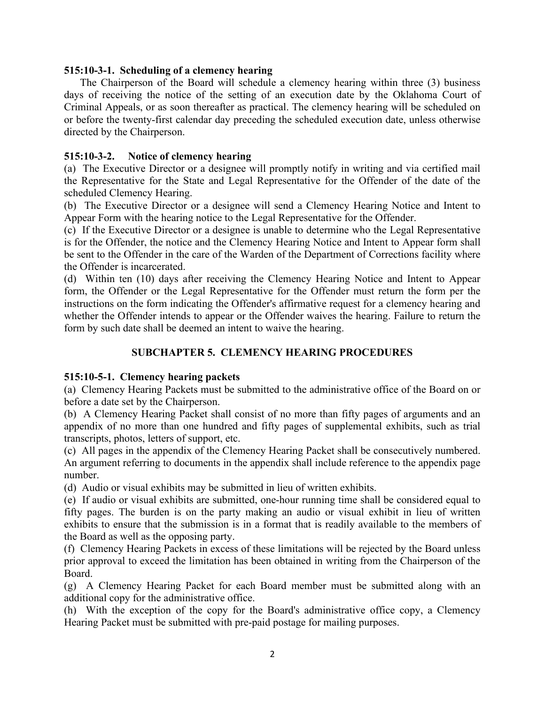## **515:10-3-1. Scheduling of a clemency hearing**

The Chairperson of the Board will schedule a clemency hearing within three (3) business days of receiving the notice of the setting of an execution date by the Oklahoma Court of Criminal Appeals, or as soon thereafter as practical. The clemency hearing will be scheduled on or before the twenty-first calendar day preceding the scheduled execution date, unless otherwise directed by the Chairperson.

## **515:10-3-2. Notice of clemency hearing**

(a) The Executive Director or a designee will promptly notify in writing and via certified mail the Representative for the State and Legal Representative for the Offender of the date of the scheduled Clemency Hearing.

(b) The Executive Director or a designee will send a Clemency Hearing Notice and Intent to Appear Form with the hearing notice to the Legal Representative for the Offender.

(c) If the Executive Director or a designee is unable to determine who the Legal Representative is for the Offender, the notice and the Clemency Hearing Notice and Intent to Appear form shall be sent to the Offender in the care of the Warden of the Department of Corrections facility where the Offender is incarcerated.

(d) Within ten (10) days after receiving the Clemency Hearing Notice and Intent to Appear form, the Offender or the Legal Representative for the Offender must return the form per the instructions on the form indicating the Offender's affirmative request for a clemency hearing and whether the Offender intends to appear or the Offender waives the hearing. Failure to return the form by such date shall be deemed an intent to waive the hearing.

# **SUBCHAPTER 5. CLEMENCY HEARING PROCEDURES**

# **515:10-5-1. Clemency hearing packets**

(a) Clemency Hearing Packets must be submitted to the administrative office of the Board on or before a date set by the Chairperson.

(b) A Clemency Hearing Packet shall consist of no more than fifty pages of arguments and an appendix of no more than one hundred and fifty pages of supplemental exhibits, such as trial transcripts, photos, letters of support, etc.

(c) All pages in the appendix of the Clemency Hearing Packet shall be consecutively numbered. An argument referring to documents in the appendix shall include reference to the appendix page number.

(d) Audio or visual exhibits may be submitted in lieu of written exhibits.

(e) If audio or visual exhibits are submitted, one-hour running time shall be considered equal to fifty pages. The burden is on the party making an audio or visual exhibit in lieu of written exhibits to ensure that the submission is in a format that is readily available to the members of the Board as well as the opposing party.

(f) Clemency Hearing Packets in excess of these limitations will be rejected by the Board unless prior approval to exceed the limitation has been obtained in writing from the Chairperson of the Board.

(g) A Clemency Hearing Packet for each Board member must be submitted along with an additional copy for the administrative office.

(h) With the exception of the copy for the Board's administrative office copy, a Clemency Hearing Packet must be submitted with pre-paid postage for mailing purposes.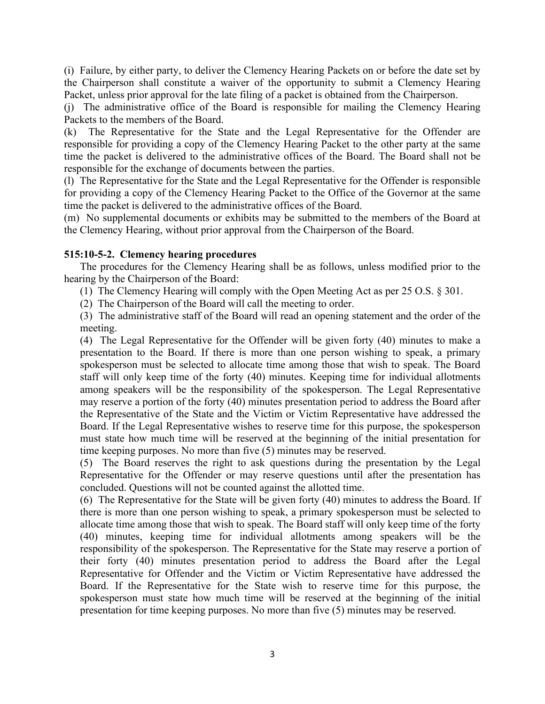(i) Failure, by either party, to deliver the Clemency Hearing Packets on or before the date set by the Chairperson shall constitute a waiver of the opportunity to submit a Clemency Hearing Packet, unless prior approval for the late filing of a packet is obtained from the Chairperson.

(j) The administrative office of the Board is responsible for mailing the Clemency Hearing Packets to the members of the Board.

(k) The Representative for the State and the Legal Representative for the Offender are responsible for providing a copy of the Clemency Hearing Packet to the other party at the same time the packet is delivered to the administrative offices of the Board. The Board shall not be responsible for the exchange of documents between the parties.

(l) The Representative for the State and the Legal Representative for the Offender is responsible for providing a copy of the Clemency Hearing Packet to the Office of the Governor at the same time the packet is delivered to the administrative offices of the Board.

(m) No supplemental documents or exhibits may be submitted to the members of the Board at the Clemency Hearing, without prior approval from the Chairperson of the Board.

## **515:10-5-2. Clemency hearing procedures**

The procedures for the Clemency Hearing shall be as follows, unless modified prior to the hearing by the Chairperson of the Board:

- (1) The Clemency Hearing will comply with the Open Meeting Act as per 25 O.S. § 301.
- (2) The Chairperson of the Board will call the meeting to order.

(3) The administrative staff of the Board will read an opening statement and the order of the meeting.

(4) The Legal Representative for the Offender will be given forty (40) minutes to make a presentation to the Board. If there is more than one person wishing to speak, a primary spokesperson must be selected to allocate time among those that wish to speak. The Board staff will only keep time of the forty (40) minutes. Keeping time for individual allotments among speakers will be the responsibility of the spokesperson. The Legal Representative may reserve a portion of the forty (40) minutes presentation period to address the Board after the Representative of the State and the Victim or Victim Representative have addressed the Board. If the Legal Representative wishes to reserve time for this purpose, the spokesperson must state how much time will be reserved at the beginning of the initial presentation for time keeping purposes. No more than five (5) minutes may be reserved.

(5) The Board reserves the right to ask questions during the presentation by the Legal Representative for the Offender or may reserve questions until after the presentation has concluded. Questions will not be counted against the allotted time.

(6) The Representative for the State will be given forty (40) minutes to address the Board. If there is more than one person wishing to speak, a primary spokesperson must be selected to allocate time among those that wish to speak. The Board staff will only keep time of the forty (40) minutes, keeping time for individual allotments among speakers will be the responsibility of the spokesperson. The Representative for the State may reserve a portion of their forty (40) minutes presentation period to address the Board after the Legal Representative for Offender and the Victim or Victim Representative have addressed the Board. If the Representative for the State wish to reserve time for this purpose, the spokesperson must state how much time will be reserved at the beginning of the initial presentation for time keeping purposes. No more than five (5) minutes may be reserved.